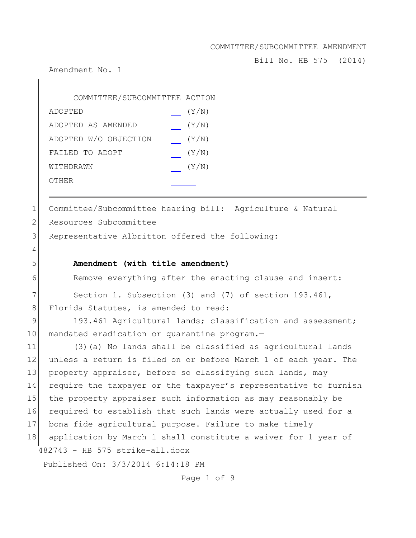Bill No. HB 575 (2014)

Amendment No. 1

4

| COMMITTEE/SUBCOMMITTEE ACTION |       |
|-------------------------------|-------|
| ADOPTED                       | (Y/N) |
| ADOPTED AS AMENDED            | (Y/N) |
| ADOPTED W/O OBJECTION         | (Y/N) |
| FAILED TO ADOPT               | (Y/N) |
| WITHDRAWN                     | (Y/N) |
| OTHER                         |       |

1 Committee/Subcommittee hearing bill: Agriculture & Natural 2 Resources Subcommittee

3 Representative Albritton offered the following:

### 5 **Amendment (with title amendment)**

6 Remove everything after the enacting clause and insert:

7 Section 1. Subsection (3) and (7) of section 193.461, 8 Florida Statutes, is amended to read:

9 193.461 Agricultural lands; classification and assessment; 10 mandated eradication or quarantine program.-

482743 - HB 575 strike-all.docx 11 (3)(a) No lands shall be classified as agricultural lands 12 unless a return is filed on or before March 1 of each year. The 13 property appraiser, before so classifying such lands, may 14 require the taxpayer or the taxpayer's representative to furnish 15 the property appraiser such information as may reasonably be 16 required to establish that such lands were actually used for a 17 bona fide agricultural purpose. Failure to make timely 18 application by March 1 shall constitute a waiver for 1 year of

Published On: 3/3/2014 6:14:18 PM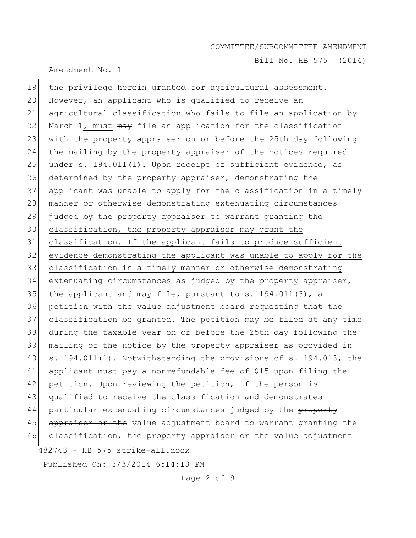Amendment No. 1

Bill No. HB 575 (2014)

482743 - HB 575 strike-all.docx Published On: 3/3/2014 6:14:18 PM 19 the privilege herein granted for agricultural assessment. 20 However, an applicant who is qualified to receive an 21 agricultural classification who fails to file an application by 22 March 1, must may file an application for the classification 23 with the property appraiser on or before the 25th day following 24 the mailing by the property appraiser of the notices required 25 under s. 194.011(1). Upon receipt of sufficient evidence, as 26 determined by the property appraiser, demonstrating the 27 applicant was unable to apply for the classification in a timely 28 manner or otherwise demonstrating extenuating circumstances 29 judged by the property appraiser to warrant granting the 30 classification, the property appraiser may grant the 31 classification. If the applicant fails to produce sufficient 32 evidence demonstrating the applicant was unable to apply for the 33 classification in a timely manner or otherwise demonstrating 34 extenuating circumstances as judged by the property appraiser, 35 the applicant and may file, pursuant to s.  $194.011(3)$ , a 36 petition with the value adjustment board requesting that the 37 classification be granted. The petition may be filed at any time 38 during the taxable year on or before the 25th day following the 39 mailing of the notice by the property appraiser as provided in 40 s. 194.011(1). Notwithstanding the provisions of s. 194.013, the 41 applicant must pay a nonrefundable fee of \$15 upon filing the 42 petition. Upon reviewing the petition, if the person is 43 qualified to receive the classification and demonstrates 44 particular extenuating circumstances judged by the property 45 appraiser or the value adjustment board to warrant granting the 46 classification, <del>the property appraiser or</del> the value adjustment

Page 2 of 9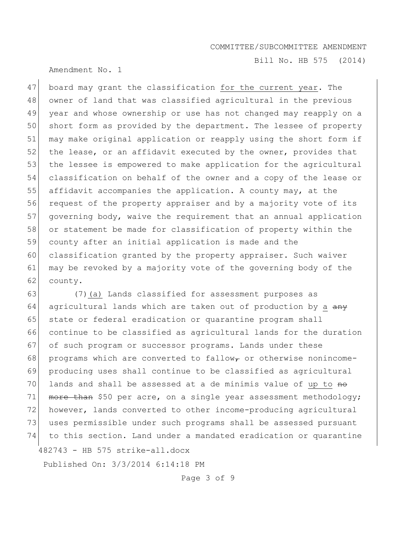Bill No. HB 575 (2014)

Amendment No. 1

47 board may grant the classification for the current year. The 48 owner of land that was classified agricultural in the previous 49 year and whose ownership or use has not changed may reapply on a 50 short form as provided by the department. The lessee of property 51 may make original application or reapply using the short form if 52 the lease, or an affidavit executed by the owner, provides that 53 the lessee is empowered to make application for the agricultural 54 classification on behalf of the owner and a copy of the lease or 55 affidavit accompanies the application. A county may, at the 56 request of the property appraiser and by a majority vote of its 57 governing body, waive the requirement that an annual application 58 or statement be made for classification of property within the 59 county after an initial application is made and the 60 classification granted by the property appraiser. Such waiver 61 may be revoked by a majority vote of the governing body of the 62 county.

482743 - HB 575 strike-all.docx 63 (7)(a) Lands classified for assessment purposes as 64 agricultural lands which are taken out of production by a  $\frac{any}{x}$ 65 state or federal eradication or quarantine program shall 66 continue to be classified as agricultural lands for the duration 67 of such program or successor programs. Lands under these 68 programs which are converted to fallow<sub>r</sub> or otherwise nonincome-69 producing uses shall continue to be classified as agricultural  $70$  lands and shall be assessed at a de minimis value of up to  $m_{\odot}$ 71  $\mu$  more than \$50 per acre, on a single year assessment methodology; 72 however, lands converted to other income-producing agricultural 73 uses permissible under such programs shall be assessed pursuant 74 to this section. Land under a mandated eradication or quarantine

Published On: 3/3/2014 6:14:18 PM

Page 3 of 9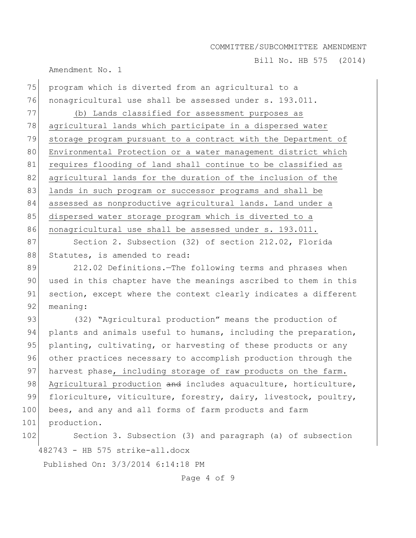Bill No. HB 575 (2014)

Amendment No. 1

75 program which is diverted from an agricultural to a 76 nonagricultural use shall be assessed under s. 193.011. 77 (b) Lands classified for assessment purposes as 78 agricultural lands which participate in a dispersed water 79 storage program pursuant to a contract with the Department of 80 Environmental Protection or a water management district which 81 requires flooding of land shall continue to be classified as 82 agricultural lands for the duration of the inclusion of the 83 llands in such program or successor programs and shall be 84 assessed as nonproductive agricultural lands. Land under a 85 dispersed water storage program which is diverted to a 86 nonagricultural use shall be assessed under s. 193.011. 87 Section 2. Subsection (32) of section 212.02, Florida 88 Statutes, is amended to read: 89 212.02 Definitions.—The following terms and phrases when 90 used in this chapter have the meanings ascribed to them in this 91 section, except where the context clearly indicates a different 92 meaning: 93 (32) "Agricultural production" means the production of 94 plants and animals useful to humans, including the preparation, 95 planting, cultivating, or harvesting of these products or any 96 other practices necessary to accomplish production through the 97 harvest phase, including storage of raw products on the farm. 98 Agricultural production and includes aquaculture, horticulture, 99 floriculture, viticulture, forestry, dairy, livestock, poultry, 100 bees, and any and all forms of farm products and farm 101 production.

482743 - HB 575 strike-all.docx 102 Section 3. Subsection (3) and paragraph (a) of subsection

Published On: 3/3/2014 6:14:18 PM

Page 4 of 9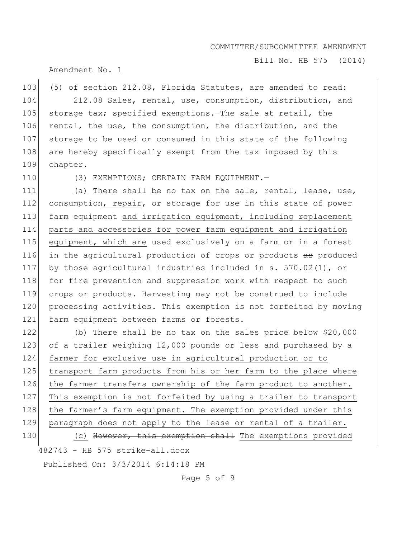Bill No. HB 575 (2014)

### Amendment No. 1

103 (5) of section 212.08, Florida Statutes, are amended to read: 104 212.08 Sales, rental, use, consumption, distribution, and 105 storage tax; specified exemptions.—The sale at retail, the 106 rental, the use, the consumption, the distribution, and the 107 storage to be used or consumed in this state of the following 108 are hereby specifically exempt from the tax imposed by this 109 chapter.

110 (3) EXEMPTIONS; CERTAIN FARM EQUIPMENT.

111 (a) There shall be no tax on the sale, rental, lease, use, 112 consumption, repair, or storage for use in this state of power 113 farm equipment and irrigation equipment, including replacement 114 parts and accessories for power farm equipment and irrigation 115 equipment, which are used exclusively on a farm or in a forest 116 in the agricultural production of crops or products as produced 117 by those agricultural industries included in s. 570.02(1), or 118 for fire prevention and suppression work with respect to such 119 crops or products. Harvesting may not be construed to include 120 processing activities. This exemption is not forfeited by moving 121 farm equipment between farms or forests.

482743 - HB 575 strike-all.docx 122 (b) There shall be no tax on the sales price below \$20,000 123 of a trailer weighing 12,000 pounds or less and purchased by a 124 farmer for exclusive use in agricultural production or to 125 transport farm products from his or her farm to the place where 126 the farmer transfers ownership of the farm product to another. 127 This exemption is not forfeited by using a trailer to transport 128 the farmer's farm equipment. The exemption provided under this 129 paragraph does not apply to the lease or rental of a trailer. 130 (c) However, this exemption shall The exemptions provided

Published On: 3/3/2014 6:14:18 PM

Page 5 of 9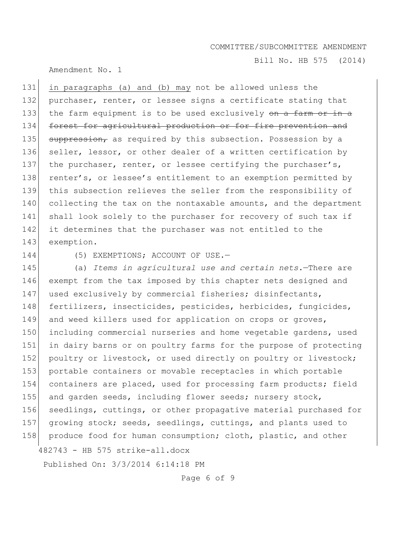Bill No. HB 575 (2014)

Amendment No. 1

131 in paragraphs (a) and (b) may not be allowed unless the 132 purchaser, renter, or lessee signs a certificate stating that 133 the farm equipment is to be used exclusively on a farm or in a 134 forest for agricultural production or for fire prevention and 135  $\frac{135}{135}$  suppression, as required by this subsection. Possession by a 136 seller, lessor, or other dealer of a written certification by 137 the purchaser, renter, or lessee certifying the purchaser's, 138 renter's, or lessee's entitlement to an exemption permitted by 139 this subsection relieves the seller from the responsibility of 140 collecting the tax on the nontaxable amounts, and the department 141 shall look solely to the purchaser for recovery of such tax if 142 it determines that the purchaser was not entitled to the 143 exemption.

144 (5) EXEMPTIONS; ACCOUNT OF USE.

482743 - HB 575 strike-all.docx 145 (a) *Items in agricultural use and certain nets.*—There are 146 exempt from the tax imposed by this chapter nets designed and 147 used exclusively by commercial fisheries; disinfectants, 148 fertilizers, insecticides, pesticides, herbicides, fungicides, 149 and weed killers used for application on crops or groves, 150 including commercial nurseries and home vegetable gardens, used 151 in dairy barns or on poultry farms for the purpose of protecting 152 poultry or livestock, or used directly on poultry or livestock; 153 portable containers or movable receptacles in which portable 154 containers are placed, used for processing farm products; field 155 and garden seeds, including flower seeds; nursery stock, 156 seedlings, cuttings, or other propagative material purchased for 157 growing stock; seeds, seedlings, cuttings, and plants used to 158 produce food for human consumption; cloth, plastic, and other

Published On: 3/3/2014 6:14:18 PM

Page 6 of 9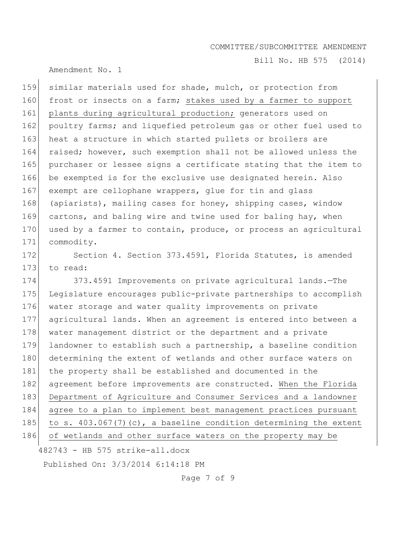Bill No. HB 575 (2014)

## Amendment No. 1

159 similar materials used for shade, mulch, or protection from 160 frost or insects on a farm; stakes used by a farmer to support 161 plants during agricultural production; generators used on 162 poultry farms; and liquefied petroleum gas or other fuel used to 163 heat a structure in which started pullets or broilers are 164 raised; however, such exemption shall not be allowed unless the 165 purchaser or lessee signs a certificate stating that the item to 166 be exempted is for the exclusive use designated herein. Also 167 exempt are cellophane wrappers, glue for tin and glass 168 (apiarists), mailing cases for honey, shipping cases, window 169 cartons, and baling wire and twine used for baling hay, when 170 used by a farmer to contain, produce, or process an agricultural 171 commodity.

172 Section 4. Section 373.4591, Florida Statutes, is amended 173 to read:

174 373.4591 Improvements on private agricultural lands.—The 175 Legislature encourages public-private partnerships to accomplish 176 water storage and water quality improvements on private 177 agricultural lands. When an agreement is entered into between a 178 water management district or the department and a private 179 landowner to establish such a partnership, a baseline condition 180 determining the extent of wetlands and other surface waters on 181 the property shall be established and documented in the 182 agreement before improvements are constructed. When the Florida 183 Department of Agriculture and Consumer Services and a landowner 184 agree to a plan to implement best management practices pursuant 185 to s. 403.067(7)(c), a baseline condition determining the extent 186 of wetlands and other surface waters on the property may be

482743 - HB 575 strike-all.docx

Published On: 3/3/2014 6:14:18 PM

Page 7 of 9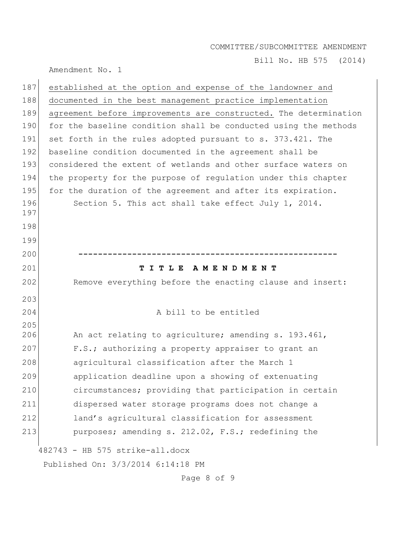Bill No. HB 575 (2014)

Amendment No. 1

| 187 | established at the option and expense of the landowner and       |
|-----|------------------------------------------------------------------|
| 188 | documented in the best management practice implementation        |
| 189 | agreement before improvements are constructed. The determination |
| 190 | for the baseline condition shall be conducted using the methods  |
| 191 | set forth in the rules adopted pursuant to s. 373.421. The       |
| 192 | baseline condition documented in the agreement shall be          |
| 193 | considered the extent of wetlands and other surface waters on    |
| 194 | the property for the purpose of regulation under this chapter    |
| 195 | for the duration of the agreement and after its expiration.      |
| 196 | Section 5. This act shall take effect July 1, 2014.              |
| 197 |                                                                  |
| 198 |                                                                  |
| 199 |                                                                  |
| 200 |                                                                  |
| 201 | TITLE AMENDMENT                                                  |
|     |                                                                  |
| 202 | Remove everything before the enacting clause and insert:         |
| 203 |                                                                  |
| 204 | A bill to be entitled                                            |
| 205 |                                                                  |
| 206 | An act relating to agriculture; amending s. 193.461,             |
| 207 | F.S.; authorizing a property appraiser to grant an               |
| 208 | agricultural classification after the March 1                    |
| 209 | application deadline upon a showing of extenuating               |
| 210 | circumstances; providing that participation in certain           |
| 211 | dispersed water storage programs does not change a               |
| 212 | land's agricultural classification for assessment                |
| 213 | purposes; amending s. 212.02, F.S.; redefining the               |
|     | 482743 - HB 575 strike-all.docx                                  |

Page 8 of 9